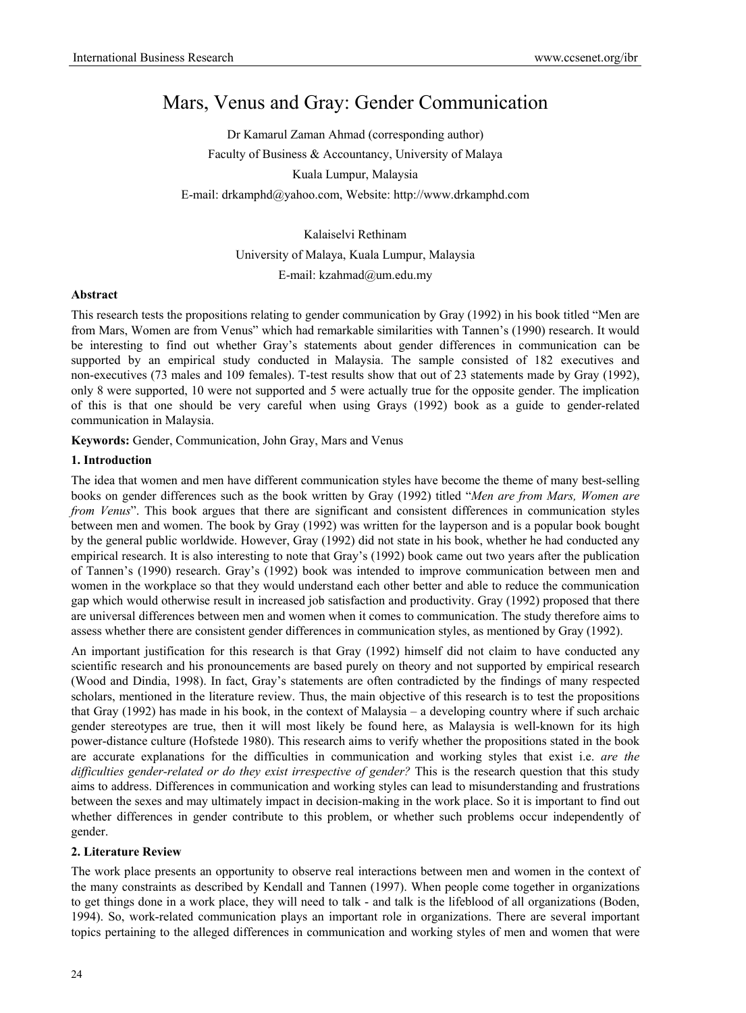# Mars, Venus and Gray: Gender Communication

Dr Kamarul Zaman Ahmad (corresponding author) Faculty of Business & Accountancy, University of Malaya Kuala Lumpur, Malaysia E-mail: drkamphd@yahoo.com, Website: http://www.drkamphd.com

> Kalaiselvi Rethinam University of Malaya, Kuala Lumpur, Malaysia E-mail: kzahmad@um.edu.my

#### **Abstract**

This research tests the propositions relating to gender communication by Gray (1992) in his book titled "Men are from Mars, Women are from Venus" which had remarkable similarities with Tannen's (1990) research. It would be interesting to find out whether Gray's statements about gender differences in communication can be supported by an empirical study conducted in Malaysia. The sample consisted of 182 executives and non-executives (73 males and 109 females). T-test results show that out of 23 statements made by Gray (1992), only 8 were supported, 10 were not supported and 5 were actually true for the opposite gender. The implication of this is that one should be very careful when using Grays (1992) book as a guide to gender-related communication in Malaysia.

**Keywords:** Gender, Communication, John Gray, Mars and Venus

# **1. Introduction**

The idea that women and men have different communication styles have become the theme of many best-selling books on gender differences such as the book written by Gray (1992) titled "*Men are from Mars, Women are from Venus*". This book argues that there are significant and consistent differences in communication styles between men and women. The book by Gray (1992) was written for the layperson and is a popular book bought by the general public worldwide. However, Gray (1992) did not state in his book, whether he had conducted any empirical research. It is also interesting to note that Gray's (1992) book came out two years after the publication of Tannen's (1990) research. Gray's (1992) book was intended to improve communication between men and women in the workplace so that they would understand each other better and able to reduce the communication gap which would otherwise result in increased job satisfaction and productivity. Gray (1992) proposed that there are universal differences between men and women when it comes to communication. The study therefore aims to assess whether there are consistent gender differences in communication styles, as mentioned by Gray (1992).

An important justification for this research is that Gray (1992) himself did not claim to have conducted any scientific research and his pronouncements are based purely on theory and not supported by empirical research (Wood and Dindia, 1998). In fact, Gray's statements are often contradicted by the findings of many respected scholars, mentioned in the literature review. Thus, the main objective of this research is to test the propositions that Gray (1992) has made in his book, in the context of Malaysia – a developing country where if such archaic gender stereotypes are true, then it will most likely be found here, as Malaysia is well-known for its high power-distance culture (Hofstede 1980). This research aims to verify whether the propositions stated in the book are accurate explanations for the difficulties in communication and working styles that exist i.e. *are the difficulties gender-related or do they exist irrespective of gender?* This is the research question that this study aims to address. Differences in communication and working styles can lead to misunderstanding and frustrations between the sexes and may ultimately impact in decision-making in the work place. So it is important to find out whether differences in gender contribute to this problem, or whether such problems occur independently of gender.

## **2. Literature Review**

The work place presents an opportunity to observe real interactions between men and women in the context of the many constraints as described by Kendall and Tannen (1997). When people come together in organizations to get things done in a work place, they will need to talk - and talk is the lifeblood of all organizations (Boden, 1994). So, work-related communication plays an important role in organizations. There are several important topics pertaining to the alleged differences in communication and working styles of men and women that were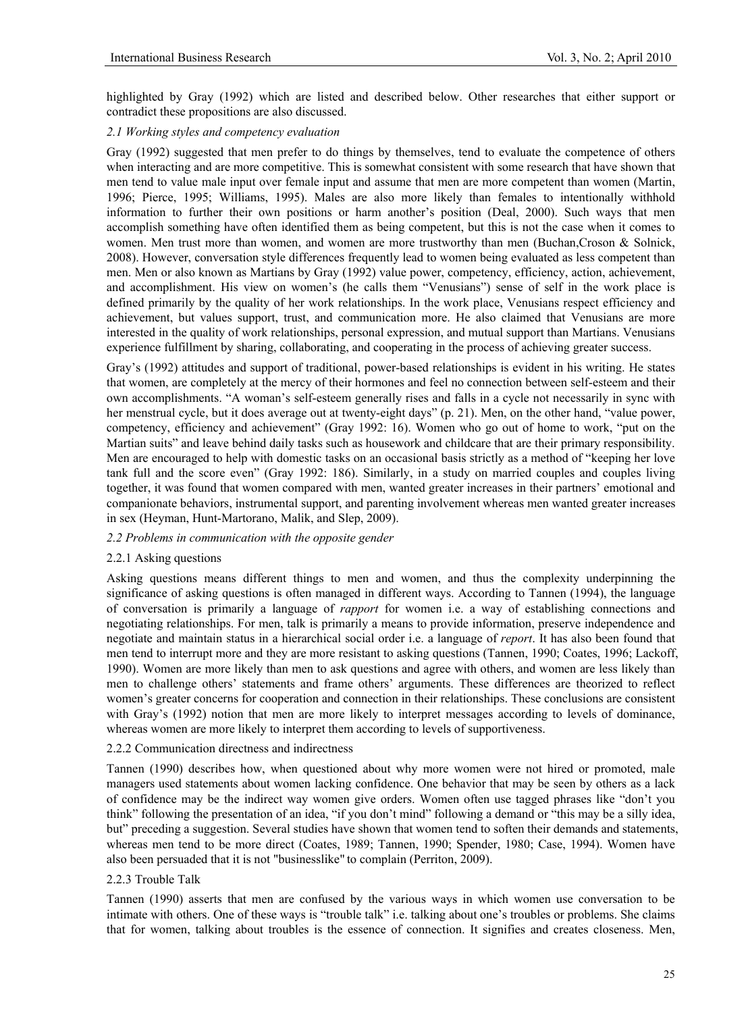highlighted by Gray (1992) which are listed and described below. Other researches that either support or contradict these propositions are also discussed.

# *2.1 Working styles and competency evaluation*

Gray (1992) suggested that men prefer to do things by themselves, tend to evaluate the competence of others when interacting and are more competitive. This is somewhat consistent with some research that have shown that men tend to value male input over female input and assume that men are more competent than women (Martin, 1996; Pierce, 1995; Williams, 1995). Males are also more likely than females to intentionally withhold information to further their own positions or harm another's position (Deal, 2000). Such ways that men accomplish something have often identified them as being competent, but this is not the case when it comes to women. Men trust more than women, and women are more trustworthy than men (Buchan, Croson & Solnick, 2008). However, conversation style differences frequently lead to women being evaluated as less competent than men. Men or also known as Martians by Gray (1992) value power, competency, efficiency, action, achievement, and accomplishment. His view on women's (he calls them "Venusians") sense of self in the work place is defined primarily by the quality of her work relationships. In the work place, Venusians respect efficiency and achievement, but values support, trust, and communication more. He also claimed that Venusians are more interested in the quality of work relationships, personal expression, and mutual support than Martians. Venusians experience fulfillment by sharing, collaborating, and cooperating in the process of achieving greater success.

Gray's (1992) attitudes and support of traditional, power-based relationships is evident in his writing. He states that women, are completely at the mercy of their hormones and feel no connection between self-esteem and their own accomplishments. "A woman's self-esteem generally rises and falls in a cycle not necessarily in sync with her menstrual cycle, but it does average out at twenty-eight days" (p. 21). Men, on the other hand, "value power, competency, efficiency and achievement" (Gray 1992: 16). Women who go out of home to work, "put on the Martian suits" and leave behind daily tasks such as housework and childcare that are their primary responsibility. Men are encouraged to help with domestic tasks on an occasional basis strictly as a method of "keeping her love tank full and the score even" (Gray 1992: 186). Similarly, in a study on married couples and couples living together, it was found that women compared with men, wanted greater increases in their partners' emotional and companionate behaviors, instrumental support, and parenting involvement whereas men wanted greater increases in sex (Heyman, Hunt-Martorano, Malik, and Slep, 2009).

## *2.2 Problems in communication with the opposite gender*

## 2.2.1 Asking questions

Asking questions means different things to men and women, and thus the complexity underpinning the significance of asking questions is often managed in different ways. According to Tannen (1994), the language of conversation is primarily a language of *rapport* for women i.e. a way of establishing connections and negotiating relationships. For men, talk is primarily a means to provide information, preserve independence and negotiate and maintain status in a hierarchical social order i.e. a language of *report*. It has also been found that men tend to interrupt more and they are more resistant to asking questions (Tannen, 1990; Coates, 1996; Lackoff, 1990). Women are more likely than men to ask questions and agree with others, and women are less likely than men to challenge others' statements and frame others' arguments. These differences are theorized to reflect women's greater concerns for cooperation and connection in their relationships. These conclusions are consistent with Gray's (1992) notion that men are more likely to interpret messages according to levels of dominance, whereas women are more likely to interpret them according to levels of supportiveness.

# 2.2.2 Communication directness and indirectness

Tannen (1990) describes how, when questioned about why more women were not hired or promoted, male managers used statements about women lacking confidence. One behavior that may be seen by others as a lack of confidence may be the indirect way women give orders. Women often use tagged phrases like "don't you think" following the presentation of an idea, "if you don't mind" following a demand or "this may be a silly idea, but" preceding a suggestion. Several studies have shown that women tend to soften their demands and statements, whereas men tend to be more direct (Coates, 1989; Tannen, 1990; Spender, 1980; Case, 1994). Women have also been persuaded that it is not "businesslike" to complain (Perriton, 2009).

## 2.2.3 Trouble Talk

Tannen (1990) asserts that men are confused by the various ways in which women use conversation to be intimate with others. One of these ways is "trouble talk" i.e. talking about one's troubles or problems. She claims that for women, talking about troubles is the essence of connection. It signifies and creates closeness. Men,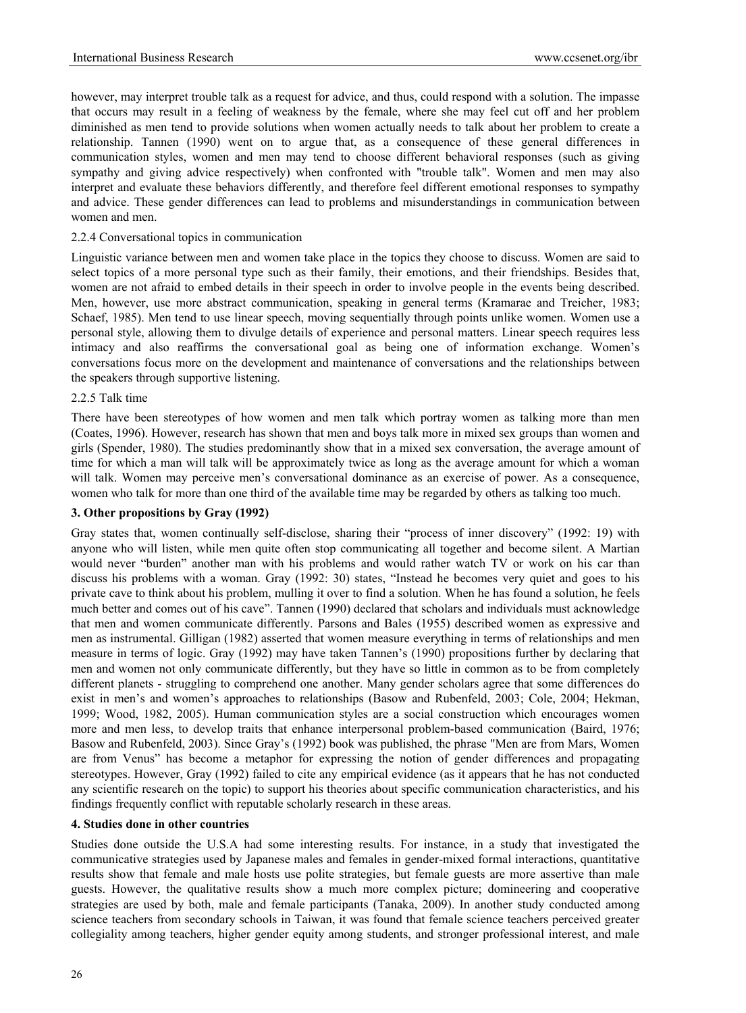however, may interpret trouble talk as a request for advice, and thus, could respond with a solution. The impasse that occurs may result in a feeling of weakness by the female, where she may feel cut off and her problem diminished as men tend to provide solutions when women actually needs to talk about her problem to create a relationship. Tannen (1990) went on to argue that, as a consequence of these general differences in communication styles, women and men may tend to choose different behavioral responses (such as giving sympathy and giving advice respectively) when confronted with "trouble talk". Women and men may also interpret and evaluate these behaviors differently, and therefore feel different emotional responses to sympathy and advice. These gender differences can lead to problems and misunderstandings in communication between women and men.

#### 2.2.4 Conversational topics in communication

Linguistic variance between men and women take place in the topics they choose to discuss. Women are said to select topics of a more personal type such as their family, their emotions, and their friendships. Besides that, women are not afraid to embed details in their speech in order to involve people in the events being described. Men, however, use more abstract communication, speaking in general terms (Kramarae and Treicher, 1983; Schaef, 1985). Men tend to use linear speech, moving sequentially through points unlike women. Women use a personal style, allowing them to divulge details of experience and personal matters. Linear speech requires less intimacy and also reaffirms the conversational goal as being one of information exchange. Women's conversations focus more on the development and maintenance of conversations and the relationships between the speakers through supportive listening.

#### 2.2.5 Talk time

There have been stereotypes of how women and men talk which portray women as talking more than men (Coates, 1996). However, research has shown that men and boys talk more in mixed sex groups than women and girls (Spender, 1980). The studies predominantly show that in a mixed sex conversation, the average amount of time for which a man will talk will be approximately twice as long as the average amount for which a woman will talk. Women may perceive men's conversational dominance as an exercise of power. As a consequence, women who talk for more than one third of the available time may be regarded by others as talking too much.

## **3. Other propositions by Gray (1992)**

Gray states that, women continually self-disclose, sharing their "process of inner discovery" (1992: 19) with anyone who will listen, while men quite often stop communicating all together and become silent. A Martian would never "burden" another man with his problems and would rather watch TV or work on his car than discuss his problems with a woman. Gray (1992: 30) states, "Instead he becomes very quiet and goes to his private cave to think about his problem, mulling it over to find a solution. When he has found a solution, he feels much better and comes out of his cave". Tannen (1990) declared that scholars and individuals must acknowledge that men and women communicate differently. Parsons and Bales (1955) described women as expressive and men as instrumental. Gilligan (1982) asserted that women measure everything in terms of relationships and men measure in terms of logic. Gray (1992) may have taken Tannen's (1990) propositions further by declaring that men and women not only communicate differently, but they have so little in common as to be from completely different planets - struggling to comprehend one another. Many gender scholars agree that some differences do exist in men's and women's approaches to relationships (Basow and Rubenfeld, 2003; Cole, 2004; Hekman, 1999; Wood, 1982, 2005). Human communication styles are a social construction which encourages women more and men less, to develop traits that enhance interpersonal problem-based communication (Baird, 1976; Basow and Rubenfeld, 2003). Since Gray's (1992) book was published, the phrase "Men are from Mars, Women are from Venus" has become a metaphor for expressing the notion of gender differences and propagating stereotypes. However, Gray (1992) failed to cite any empirical evidence (as it appears that he has not conducted any scientific research on the topic) to support his theories about specific communication characteristics, and his findings frequently conflict with reputable scholarly research in these areas.

## **4. Studies done in other countries**

Studies done outside the U.S.A had some interesting results. For instance, in a study that investigated the communicative strategies used by Japanese males and females in gender-mixed formal interactions, quantitative results show that female and male hosts use polite strategies, but female guests are more assertive than male guests. However, the qualitative results show a much more complex picture; domineering and cooperative strategies are used by both, male and female participants (Tanaka, 2009). In another study conducted among science teachers from secondary schools in Taiwan, it was found that female science teachers perceived greater collegiality among teachers, higher gender equity among students, and stronger professional interest, and male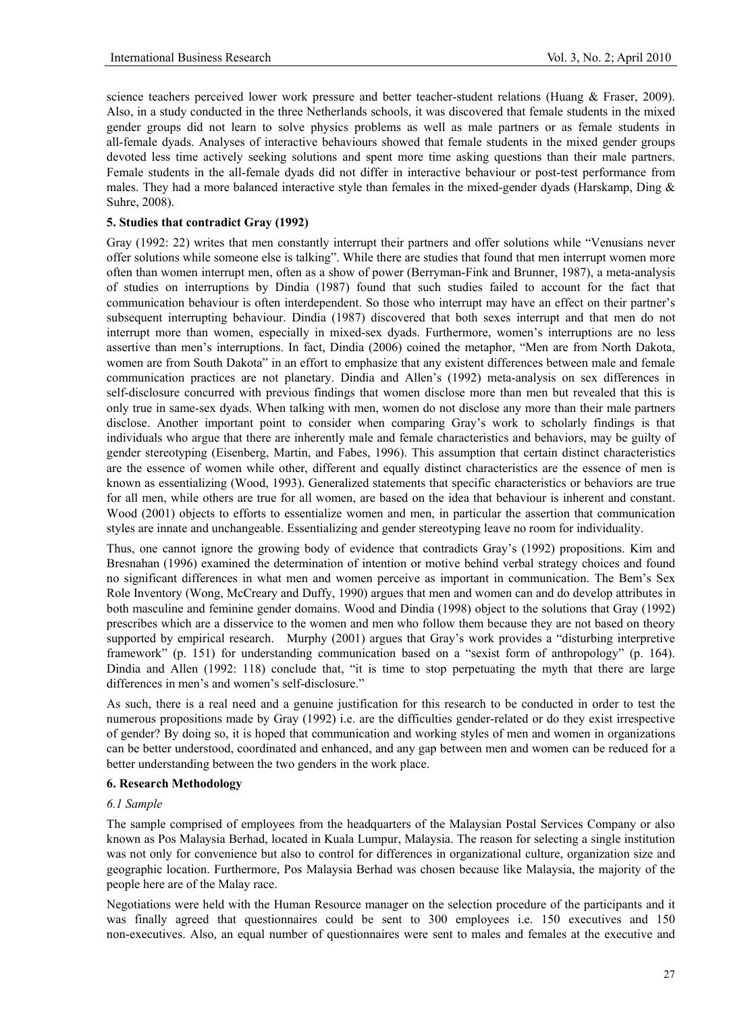science teachers perceived lower work pressure and better teacher-student relations (Huang & Fraser, 2009). Also, in a study conducted in the three Netherlands schools, it was discovered that female students in the mixed gender groups did not learn to solve physics problems as well as male partners or as female students in all-female dyads. Analyses of interactive behaviours showed that female students in the mixed gender groups devoted less time actively seeking solutions and spent more time asking questions than their male partners. Female students in the all-female dyads did not differ in interactive behaviour or post-test performance from males. They had a more balanced interactive style than females in the mixed-gender dyads (Harskamp, Ding  $\&$ Suhre, 2008).

# **5. Studies that contradict Gray (1992)**

Gray (1992: 22) writes that men constantly interrupt their partners and offer solutions while "Venusians never offer solutions while someone else is talking". While there are studies that found that men interrupt women more often than women interrupt men, often as a show of power (Berryman-Fink and Brunner, 1987), a meta-analysis of studies on interruptions by Dindia (1987) found that such studies failed to account for the fact that communication behaviour is often interdependent. So those who interrupt may have an effect on their partner's subsequent interrupting behaviour. Dindia (1987) discovered that both sexes interrupt and that men do not interrupt more than women, especially in mixed-sex dyads. Furthermore, women's interruptions are no less assertive than men's interruptions. In fact, Dindia (2006) coined the metaphor, "Men are from North Dakota, women are from South Dakota" in an effort to emphasize that any existent differences between male and female communication practices are not planetary. Dindia and Allen's (1992) meta-analysis on sex differences in self-disclosure concurred with previous findings that women disclose more than men but revealed that this is only true in same-sex dyads. When talking with men, women do not disclose any more than their male partners disclose. Another important point to consider when comparing Gray's work to scholarly findings is that individuals who argue that there are inherently male and female characteristics and behaviors, may be guilty of gender stereotyping (Eisenberg, Martin, and Fabes, 1996). This assumption that certain distinct characteristics are the essence of women while other, different and equally distinct characteristics are the essence of men is known as essentializing (Wood, 1993). Generalized statements that specific characteristics or behaviors are true for all men, while others are true for all women, are based on the idea that behaviour is inherent and constant. Wood (2001) objects to efforts to essentialize women and men, in particular the assertion that communication styles are innate and unchangeable. Essentializing and gender stereotyping leave no room for individuality.

Thus, one cannot ignore the growing body of evidence that contradicts Gray's (1992) propositions. Kim and Bresnahan (1996) examined the determination of intention or motive behind verbal strategy choices and found no significant differences in what men and women perceive as important in communication. The Bem's Sex Role Inventory (Wong, McCreary and Duffy, 1990) argues that men and women can and do develop attributes in both masculine and feminine gender domains. Wood and Dindia (1998) object to the solutions that Gray (1992) prescribes which are a disservice to the women and men who follow them because they are not based on theory supported by empirical research. Murphy (2001) argues that Gray's work provides a "disturbing interpretive framework" (p. 151) for understanding communication based on a "sexist form of anthropology" (p. 164). Dindia and Allen (1992: 118) conclude that, "it is time to stop perpetuating the myth that there are large differences in men's and women's self-disclosure."

As such, there is a real need and a genuine justification for this research to be conducted in order to test the numerous propositions made by Gray (1992) i.e. are the difficulties gender-related or do they exist irrespective of gender? By doing so, it is hoped that communication and working styles of men and women in organizations can be better understood, coordinated and enhanced, and any gap between men and women can be reduced for a better understanding between the two genders in the work place.

## **6. Research Methodology**

## *6.1 Sample*

The sample comprised of employees from the headquarters of the Malaysian Postal Services Company or also known as Pos Malaysia Berhad, located in Kuala Lumpur, Malaysia. The reason for selecting a single institution was not only for convenience but also to control for differences in organizational culture, organization size and geographic location. Furthermore, Pos Malaysia Berhad was chosen because like Malaysia, the majority of the people here are of the Malay race.

Negotiations were held with the Human Resource manager on the selection procedure of the participants and it was finally agreed that questionnaires could be sent to 300 employees i.e. 150 executives and 150 non-executives. Also, an equal number of questionnaires were sent to males and females at the executive and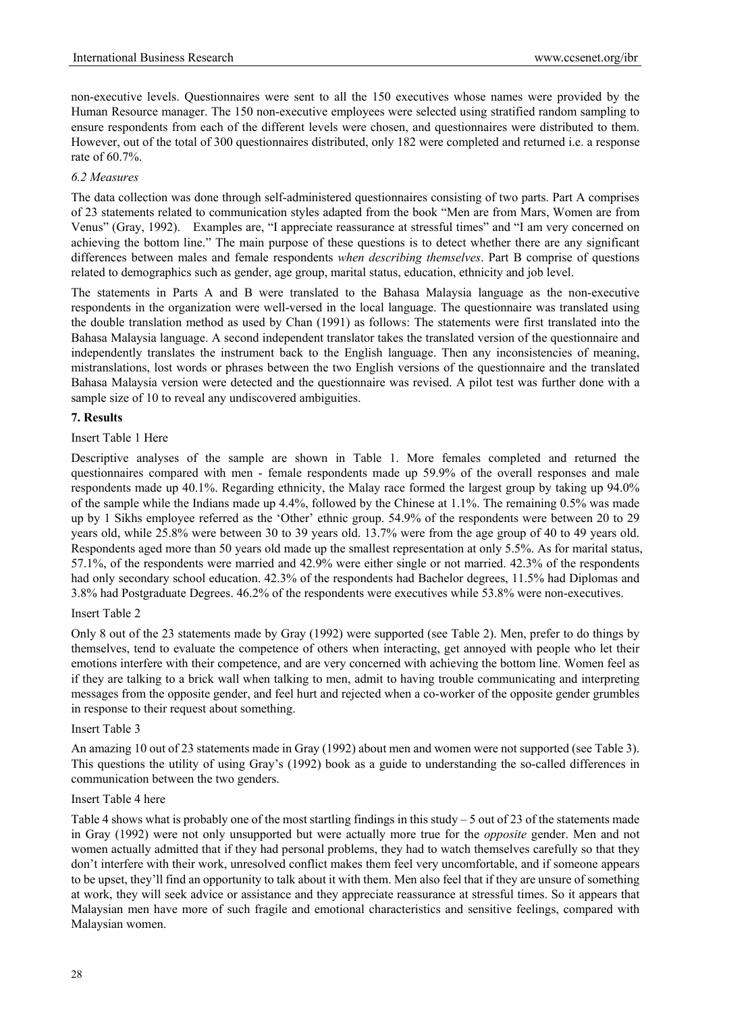non-executive levels. Questionnaires were sent to all the 150 executives whose names were provided by the Human Resource manager. The 150 non-executive employees were selected using stratified random sampling to ensure respondents from each of the different levels were chosen, and questionnaires were distributed to them. However, out of the total of 300 questionnaires distributed, only 182 were completed and returned i.e. a response rate of 60.7%.

## *6.2 Measures*

The data collection was done through self-administered questionnaires consisting of two parts. Part A comprises of 23 statements related to communication styles adapted from the book "Men are from Mars, Women are from Venus" (Gray, 1992). Examples are, "I appreciate reassurance at stressful times" and "I am very concerned on achieving the bottom line." The main purpose of these questions is to detect whether there are any significant differences between males and female respondents *when describing themselves*. Part B comprise of questions related to demographics such as gender, age group, marital status, education, ethnicity and job level.

The statements in Parts A and B were translated to the Bahasa Malaysia language as the non-executive respondents in the organization were well-versed in the local language. The questionnaire was translated using the double translation method as used by Chan (1991) as follows: The statements were first translated into the Bahasa Malaysia language. A second independent translator takes the translated version of the questionnaire and independently translates the instrument back to the English language. Then any inconsistencies of meaning, mistranslations, lost words or phrases between the two English versions of the questionnaire and the translated Bahasa Malaysia version were detected and the questionnaire was revised. A pilot test was further done with a sample size of 10 to reveal any undiscovered ambiguities.

# **7. Results**

# Insert Table 1 Here

Descriptive analyses of the sample are shown in Table 1. More females completed and returned the questionnaires compared with men - female respondents made up 59.9% of the overall responses and male respondents made up 40.1%. Regarding ethnicity, the Malay race formed the largest group by taking up 94.0% of the sample while the Indians made up 4.4%, followed by the Chinese at 1.1%. The remaining 0.5% was made up by 1 Sikhs employee referred as the 'Other' ethnic group. 54.9% of the respondents were between 20 to 29 years old, while 25.8% were between 30 to 39 years old. 13.7% were from the age group of 40 to 49 years old. Respondents aged more than 50 years old made up the smallest representation at only 5.5%. As for marital status, 57.1%, of the respondents were married and 42.9% were either single or not married. 42.3% of the respondents had only secondary school education. 42.3% of the respondents had Bachelor degrees, 11.5% had Diplomas and 3.8% had Postgraduate Degrees. 46.2% of the respondents were executives while 53.8% were non-executives.

## Insert Table 2

Only 8 out of the 23 statements made by Gray (1992) were supported (see Table 2). Men, prefer to do things by themselves, tend to evaluate the competence of others when interacting, get annoyed with people who let their emotions interfere with their competence, and are very concerned with achieving the bottom line. Women feel as if they are talking to a brick wall when talking to men, admit to having trouble communicating and interpreting messages from the opposite gender, and feel hurt and rejected when a co-worker of the opposite gender grumbles in response to their request about something.

## Insert Table 3

An amazing 10 out of 23 statements made in Gray (1992) about men and women were not supported (see Table 3). This questions the utility of using Gray's (1992) book as a guide to understanding the so-called differences in communication between the two genders.

## Insert Table 4 here

Table 4 shows what is probably one of the most startling findings in this study  $-5$  out of 23 of the statements made in Gray (1992) were not only unsupported but were actually more true for the *opposite* gender. Men and not women actually admitted that if they had personal problems, they had to watch themselves carefully so that they don't interfere with their work, unresolved conflict makes them feel very uncomfortable, and if someone appears to be upset, they'll find an opportunity to talk about it with them. Men also feel that if they are unsure of something at work, they will seek advice or assistance and they appreciate reassurance at stressful times. So it appears that Malaysian men have more of such fragile and emotional characteristics and sensitive feelings, compared with Malaysian women.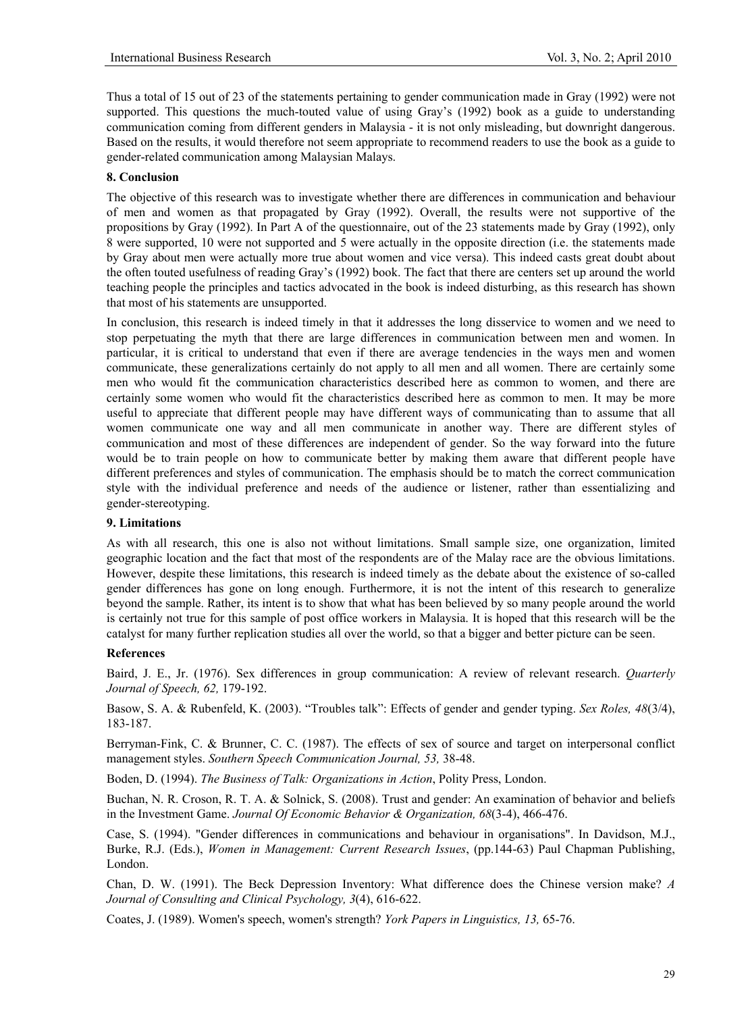Thus a total of 15 out of 23 of the statements pertaining to gender communication made in Gray (1992) were not supported. This questions the much-touted value of using Gray's (1992) book as a guide to understanding communication coming from different genders in Malaysia - it is not only misleading, but downright dangerous. Based on the results, it would therefore not seem appropriate to recommend readers to use the book as a guide to gender-related communication among Malaysian Malays.

# **8. Conclusion**

The objective of this research was to investigate whether there are differences in communication and behaviour of men and women as that propagated by Gray (1992). Overall, the results were not supportive of the propositions by Gray (1992). In Part A of the questionnaire, out of the 23 statements made by Gray (1992), only 8 were supported, 10 were not supported and 5 were actually in the opposite direction (i.e. the statements made by Gray about men were actually more true about women and vice versa). This indeed casts great doubt about the often touted usefulness of reading Gray's (1992) book. The fact that there are centers set up around the world teaching people the principles and tactics advocated in the book is indeed disturbing, as this research has shown that most of his statements are unsupported.

In conclusion, this research is indeed timely in that it addresses the long disservice to women and we need to stop perpetuating the myth that there are large differences in communication between men and women. In particular, it is critical to understand that even if there are average tendencies in the ways men and women communicate, these generalizations certainly do not apply to all men and all women. There are certainly some men who would fit the communication characteristics described here as common to women, and there are certainly some women who would fit the characteristics described here as common to men. It may be more useful to appreciate that different people may have different ways of communicating than to assume that all women communicate one way and all men communicate in another way. There are different styles of communication and most of these differences are independent of gender. So the way forward into the future would be to train people on how to communicate better by making them aware that different people have different preferences and styles of communication. The emphasis should be to match the correct communication style with the individual preference and needs of the audience or listener, rather than essentializing and gender-stereotyping.

## **9. Limitations**

As with all research, this one is also not without limitations. Small sample size, one organization, limited geographic location and the fact that most of the respondents are of the Malay race are the obvious limitations. However, despite these limitations, this research is indeed timely as the debate about the existence of so-called gender differences has gone on long enough. Furthermore, it is not the intent of this research to generalize beyond the sample. Rather, its intent is to show that what has been believed by so many people around the world is certainly not true for this sample of post office workers in Malaysia. It is hoped that this research will be the catalyst for many further replication studies all over the world, so that a bigger and better picture can be seen.

## **References**

Baird, J. E., Jr. (1976). Sex differences in group communication: A review of relevant research. *Quarterly Journal of Speech, 62,* 179-192.

Basow, S. A. & Rubenfeld, K. (2003). "Troubles talk": Effects of gender and gender typing. *Sex Roles, 48*(3/4), 183-187.

Berryman-Fink, C. & Brunner, C. C. (1987). The effects of sex of source and target on interpersonal conflict management styles. *Southern Speech Communication Journal, 53,* 38-48.

Boden, D. (1994). *The Business of Talk: Organizations in Action*, Polity Press, London.

Buchan, N. R. Croson, R. T. A. & Solnick, S. (2008). Trust and gender: An examination of behavior and beliefs in the Investment Game. *Journal Of Economic Behavior & Organization, 68*(3-4), 466-476.

Case, S. (1994). "Gender differences in communications and behaviour in organisations". In Davidson, M.J., Burke, R.J. (Eds.), *Women in Management: Current Research Issues*, (pp.144-63) Paul Chapman Publishing, London.

Chan, D. W. (1991). The Beck Depression Inventory: What difference does the Chinese version make? *A Journal of Consulting and Clinical Psychology, 3*(4), 616-622.

Coates, J. (1989). Women's speech, women's strength? *York Papers in Linguistics, 13,* 65-76.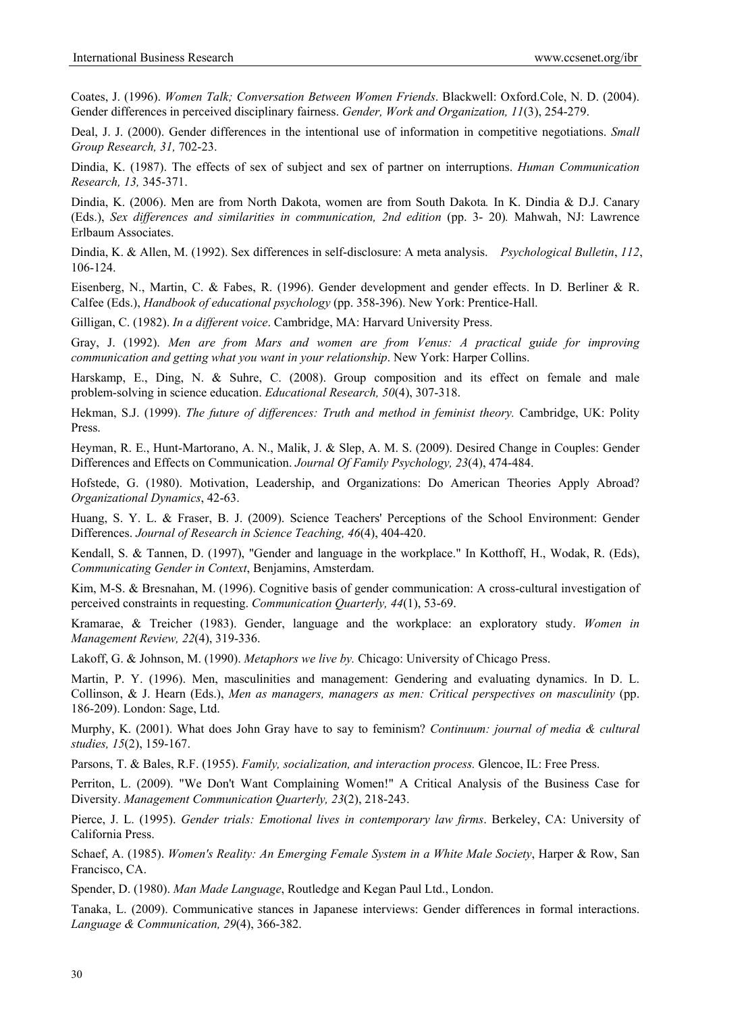Coates, J. (1996). *Women Talk; Conversation Between Women Friends*. Blackwell: Oxford.Cole, N. D. (2004). Gender differences in perceived disciplinary fairness. *Gender, Work and Organization, 11*(3), 254-279.

Deal, J. J. (2000). Gender differences in the intentional use of information in competitive negotiations. *Small Group Research, 31,* 702-23.

Dindia, K. (1987). The effects of sex of subject and sex of partner on interruptions. *Human Communication Research, 13,* 345-371.

Dindia, K. (2006). Men are from North Dakota, women are from South Dakota*.* In K. Dindia & D.J. Canary (Eds.), *Sex differences and similarities in communication, 2nd edition* (pp. 3- 20)*.* Mahwah, NJ: Lawrence Erlbaum Associates.

Dindia, K. & Allen, M. (1992). Sex differences in self-disclosure: A meta analysis. *Psychological Bulletin*, *112*, 106-124.

Eisenberg, N., Martin, C. & Fabes, R. (1996). Gender development and gender effects. In D. Berliner & R. Calfee (Eds.), *Handbook of educational psychology* (pp. 358-396). New York: Prentice-Hall.

Gilligan, C. (1982). *In a different voice*. Cambridge, MA: Harvard University Press.

Gray, J. (1992). *Men are from Mars and women are from Venus: A practical guide for improving communication and getting what you want in your relationship*. New York: Harper Collins.

Harskamp, E., Ding, N. & Suhre, C. (2008). Group composition and its effect on female and male problem-solving in science education. *Educational Research, 50*(4), 307-318.

Hekman, S.J. (1999). *The future of differences: Truth and method in feminist theory.* Cambridge, UK: Polity Press.

Heyman, R. E., Hunt-Martorano, A. N., Malik, J. & Slep, A. M. S. (2009). Desired Change in Couples: Gender Differences and Effects on Communication. *Journal Of Family Psychology, 23*(4), 474-484.

Hofstede, G. (1980). Motivation, Leadership, and Organizations: Do American Theories Apply Abroad? *Organizational Dynamics*, 42-63.

Huang, S. Y. L. & Fraser, B. J. (2009). Science Teachers' Perceptions of the School Environment: Gender Differences. *Journal of Research in Science Teaching, 46*(4), 404-420.

Kendall, S. & Tannen, D. (1997), "Gender and language in the workplace." In Kotthoff, H., Wodak, R. (Eds), *Communicating Gender in Context*, Benjamins, Amsterdam.

Kim, M-S. & Bresnahan, M. (1996). Cognitive basis of gender communication: A cross-cultural investigation of perceived constraints in requesting. *Communication Quarterly, 44*(1), 53-69.

Kramarae, & Treicher (1983). Gender, language and the workplace: an exploratory study. *Women in Management Review, 22*(4), 319-336.

Lakoff, G. & Johnson, M. (1990). *Metaphors we live by.* Chicago: University of Chicago Press.

Martin, P. Y. (1996). Men, masculinities and management: Gendering and evaluating dynamics. In D. L. Collinson, & J. Hearn (Eds.), *Men as managers, managers as men: Critical perspectives on masculinity* (pp. 186-209). London: Sage, Ltd.

Murphy, K. (2001). What does John Gray have to say to feminism? *Continuum: journal of media & cultural studies, 15*(2), 159-167.

Parsons, T. & Bales, R.F. (1955). *Family, socialization, and interaction process.* Glencoe, IL: Free Press.

Perriton, L. (2009). "We Don't Want Complaining Women!" A Critical Analysis of the Business Case for Diversity. *Management Communication Quarterly, 23*(2), 218-243.

Pierce, J. L. (1995). *Gender trials: Emotional lives in contemporary law firms*. Berkeley, CA: University of California Press.

Schaef, A. (1985). *Women's Reality: An Emerging Female System in a White Male Society*, Harper & Row, San Francisco, CA.

Spender, D. (1980). *Man Made Language*, Routledge and Kegan Paul Ltd., London.

Tanaka, L. (2009). Communicative stances in Japanese interviews: Gender differences in formal interactions. *Language & Communication, 29*(4), 366-382.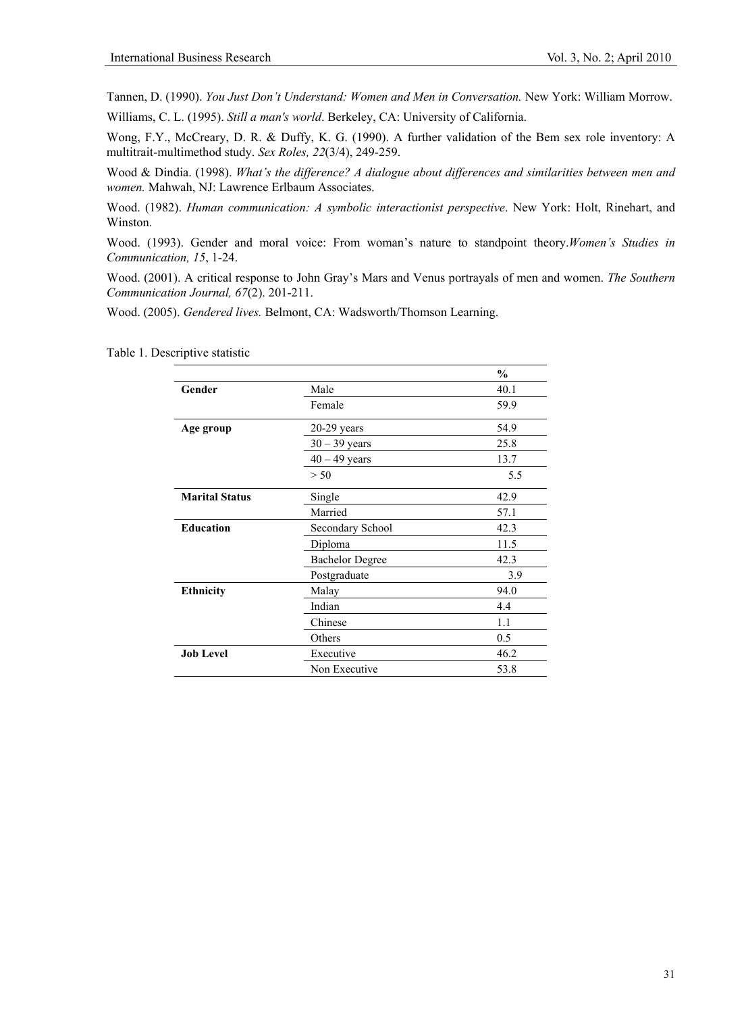Tannen, D. (1990). *You Just Don't Understand: Women and Men in Conversation.* New York: William Morrow. Williams, C. L. (1995). *Still a man's world*. Berkeley, CA: University of California.

Wong, F.Y., McCreary, D. R. & Duffy, K. G. (1990). A further validation of the Bem sex role inventory: A multitrait-multimethod study. *Sex Roles, 22*(3/4), 249-259.

Wood & Dindia. (1998). *What's the difference? A dialogue about differences and similarities between men and women.* Mahwah, NJ: Lawrence Erlbaum Associates.

Wood. (1982). *Human communication: A symbolic interactionist perspective*. New York: Holt, Rinehart, and Winston.

Wood. (1993). Gender and moral voice: From woman's nature to standpoint theory.*Women's Studies in Communication, 15*, 1-24.

Wood. (2001). A critical response to John Gray's Mars and Venus portrayals of men and women. *The Southern Communication Journal, 67*(2). 201-211.

Wood. (2005). *Gendered lives.* Belmont, CA: Wadsworth/Thomson Learning.

|                       |                        | $\frac{0}{0}$ |
|-----------------------|------------------------|---------------|
| Gender                | Male                   | 40.1          |
|                       | Female                 | 59.9          |
| Age group             | $20-29$ years          | 54.9          |
|                       | $30 - 39$ years        | 25.8          |
|                       | $40 - 49$ years        | 13.7          |
|                       | > 50                   | 5.5           |
| <b>Marital Status</b> | Single                 | 42.9          |
|                       | Married                | 57.1          |
| <b>Education</b>      | Secondary School       | 42.3          |
|                       | Diploma                | 11.5          |
|                       | <b>Bachelor Degree</b> | 42.3          |
|                       | Postgraduate           | 3.9           |
| <b>Ethnicity</b>      | Malay                  | 94.0          |
|                       | Indian                 | 4.4           |
|                       | Chinese                | 1.1           |
|                       | Others                 | 0.5           |
| <b>Job Level</b>      | Executive              | 46.2          |
|                       | Non Executive          | 53.8          |

Table 1. Descriptive statistic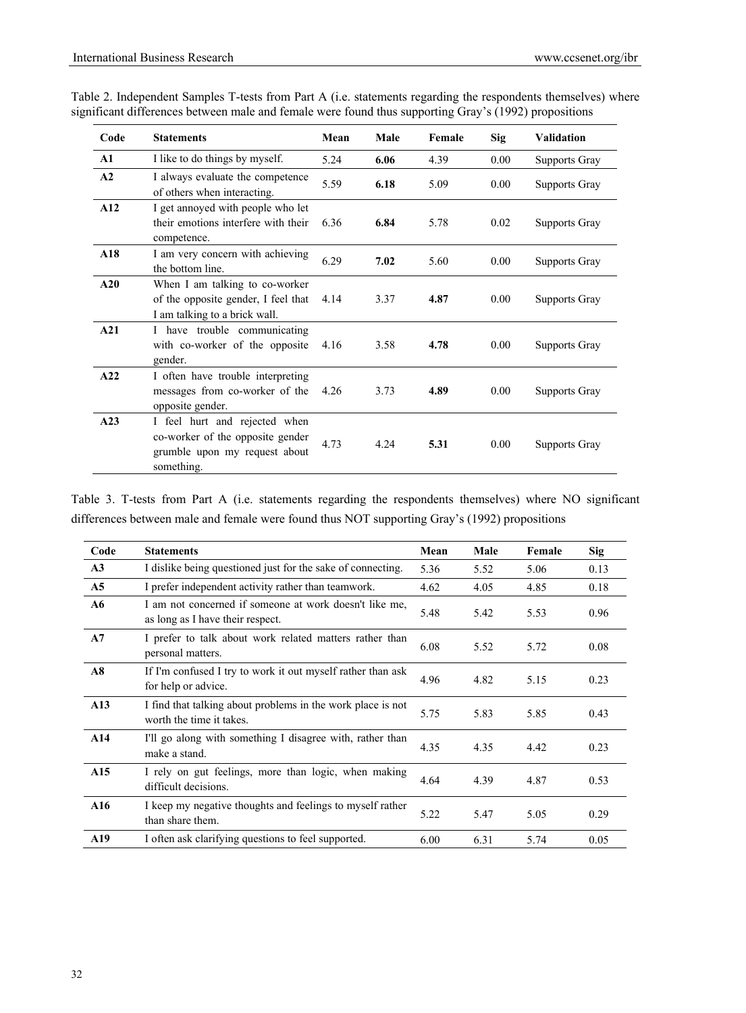| Code | <b>Statements</b>                                                                                                | Mean | Male | Female | Sig  | <b>Validation</b>    |
|------|------------------------------------------------------------------------------------------------------------------|------|------|--------|------|----------------------|
| A1   | I like to do things by myself.                                                                                   | 5.24 | 6.06 | 4.39   | 0.00 | <b>Supports Gray</b> |
| A2   | I always evaluate the competence<br>of others when interacting.                                                  | 5.59 | 6.18 | 5.09   | 0.00 | <b>Supports Gray</b> |
| A12  | I get annoyed with people who let<br>their emotions interfere with their<br>competence.                          | 6.36 | 6.84 | 5.78   | 0.02 | <b>Supports Gray</b> |
| A18  | I am very concern with achieving<br>the bottom line.                                                             | 6.29 | 7.02 | 5.60   | 0.00 | <b>Supports Gray</b> |
| A20  | When I am talking to co-worker<br>of the opposite gender, I feel that<br>I am talking to a brick wall.           | 4.14 | 3.37 | 4.87   | 0.00 | <b>Supports Gray</b> |
| A21  | I have trouble communicating<br>with co-worker of the opposite<br>gender.                                        | 4.16 | 3.58 | 4.78   | 0.00 | <b>Supports Gray</b> |
| A22  | I often have trouble interpreting<br>messages from co-worker of the<br>opposite gender.                          | 4.26 | 3.73 | 4.89   | 0.00 | Supports Gray        |
| A23  | I feel hurt and rejected when<br>co-worker of the opposite gender<br>grumble upon my request about<br>something. | 4.73 | 4.24 | 5.31   | 0.00 | <b>Supports Gray</b> |

Table 2. Independent Samples T-tests from Part A (i.e. statements regarding the respondents themselves) where significant differences between male and female were found thus supporting Gray's (1992) propositions

Table 3. T-tests from Part A (i.e. statements regarding the respondents themselves) where NO significant differences between male and female were found thus NOT supporting Gray's (1992) propositions

| Code           | <b>Statements</b>                                                                          | Mean | Male | Female | <b>Sig</b> |
|----------------|--------------------------------------------------------------------------------------------|------|------|--------|------------|
| A3             | I dislike being questioned just for the sake of connecting.                                | 5.36 | 5.52 | 5.06   | 0.13       |
| A <sub>5</sub> | I prefer independent activity rather than teamwork.                                        | 4.62 | 4.05 | 4.85   | 0.18       |
| A6             | I am not concerned if someone at work doesn't like me,<br>as long as I have their respect. | 5.48 | 5.42 | 5.53   | 0.96       |
| A7             | I prefer to talk about work related matters rather than<br>personal matters.               | 6.08 | 5.52 | 5.72   | 0.08       |
| A8             | If I'm confused I try to work it out myself rather than ask<br>for help or advice.         | 4.96 | 4.82 | 5.15   | 0.23       |
| A13            | I find that talking about problems in the work place is not<br>worth the time it takes.    | 5.75 | 5.83 | 5.85   | 0.43       |
| A14            | I'll go along with something I disagree with, rather than<br>make a stand.                 | 4.35 | 4.35 | 4.42   | 0.23       |
| A15            | I rely on gut feelings, more than logic, when making<br>difficult decisions.               | 4.64 | 4.39 | 4.87   | 0.53       |
| A16            | I keep my negative thoughts and feelings to myself rather<br>than share them.              | 5.22 | 5.47 | 5.05   | 0.29       |
| A19            | I often ask clarifying questions to feel supported.                                        | 6.00 | 6.31 | 5.74   | 0.05       |